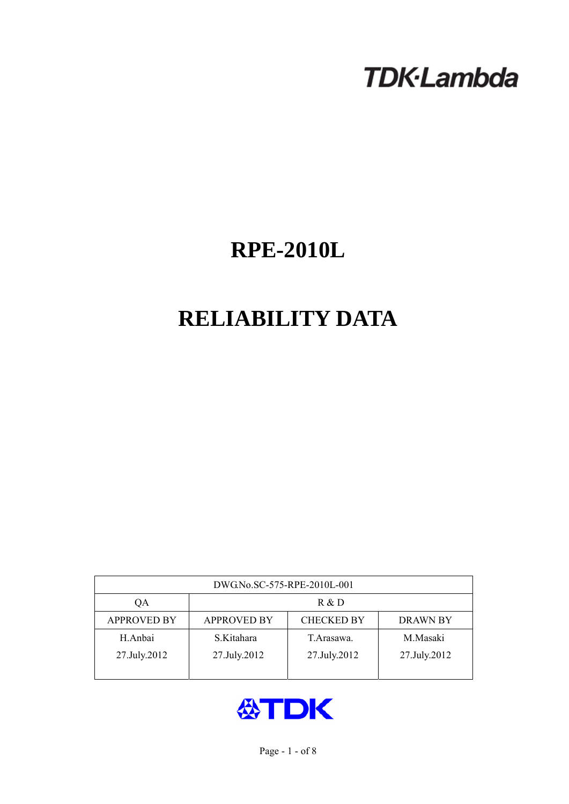# **TDK-Lambda**

## **RPE-2010L**

## **RELIABILITY DATA**

| DWG.No.SC-575-RPE-2010L-001 |                                                            |              |              |  |  |  |
|-----------------------------|------------------------------------------------------------|--------------|--------------|--|--|--|
| QA                          | R & D                                                      |              |              |  |  |  |
| <b>APPROVED BY</b>          | <b>CHECKED BY</b><br><b>APPROVED BY</b><br><b>DRAWN BY</b> |              |              |  |  |  |
| H.Anbai                     | S.Kitahara                                                 | T. Arasawa.  | M.Masaki     |  |  |  |
| 27.July.2012                | 27.July.2012                                               | 27.July.2012 | 27.July.2012 |  |  |  |
|                             |                                                            |              |              |  |  |  |

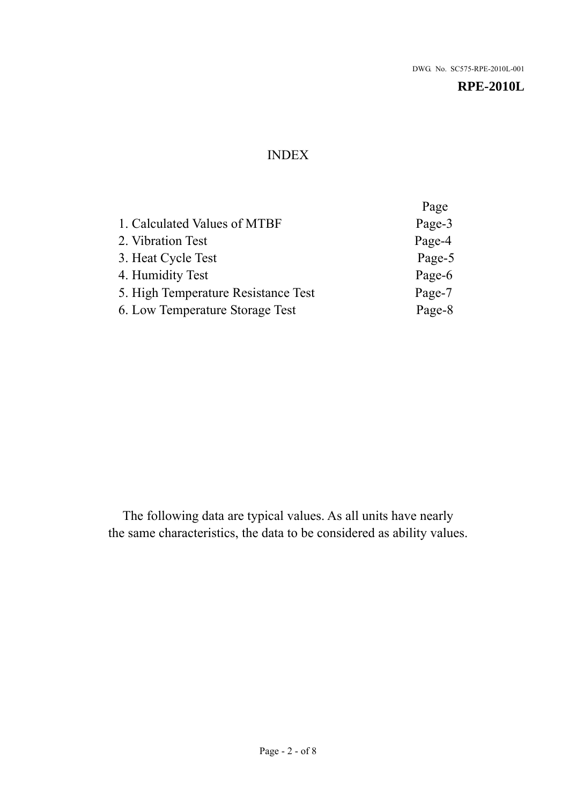## INDEX

|                                     | Page   |
|-------------------------------------|--------|
| 1. Calculated Values of MTBF        | Page-3 |
| 2. Vibration Test                   | Page-4 |
| 3. Heat Cycle Test                  | Page-5 |
| 4. Humidity Test                    | Page-6 |
| 5. High Temperature Resistance Test | Page-7 |
| 6. Low Temperature Storage Test     | Page-8 |

The following data are typical values. As all units have nearly the same characteristics, the data to be considered as ability values.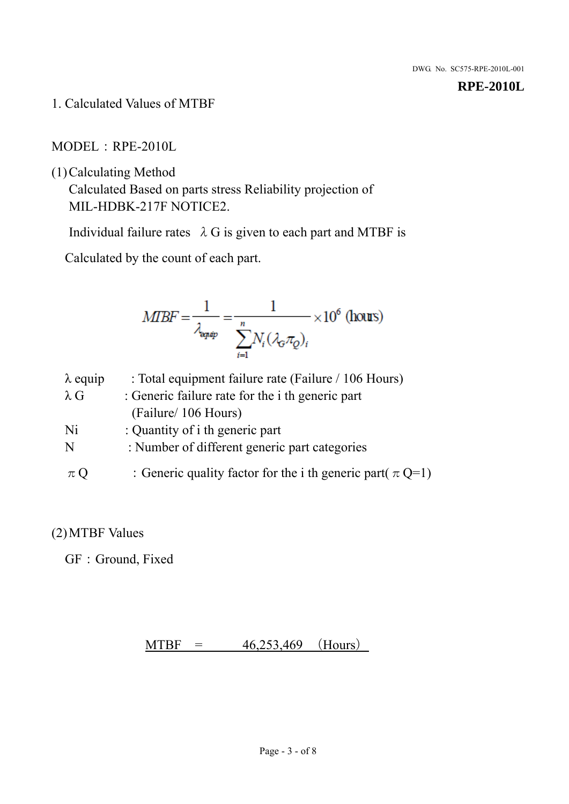1. Calculated Values of MTBF

MODEL:RPE-2010L

(1)Calculating Method

Calculated Based on parts stress Reliability projection of MIL-HDBK-217F NOTICE2.

Individual failure rates  $\lambda$  G is given to each part and MTBF is

Calculated by the count of each part.

$$
MIBF = \frac{1}{\lambda_{\text{expap}}} = \frac{1}{\sum_{i=1}^{n} N_i (\lambda_{\text{G}} \pi_Q)_i} \times 10^6 \text{ (hours)}
$$

| $\lambda$ equip | : Total equipment failure rate (Failure / 106 Hours)            |
|-----------------|-----------------------------------------------------------------|
| $\lambda$ G     | : Generic failure rate for the <i>i</i> th generic part         |
|                 | (Failure/ 106 Hours)                                            |
| Ni              | : Quantity of i th generic part                                 |
| N               | : Number of different generic part categories                   |
| $\pi$ Q         | : Generic quality factor for the i th generic part( $\pi Q=1$ ) |

## (2)MTBF Values

GF: Ground, Fixed

## $MTBF = 46,253,469$  (Hours)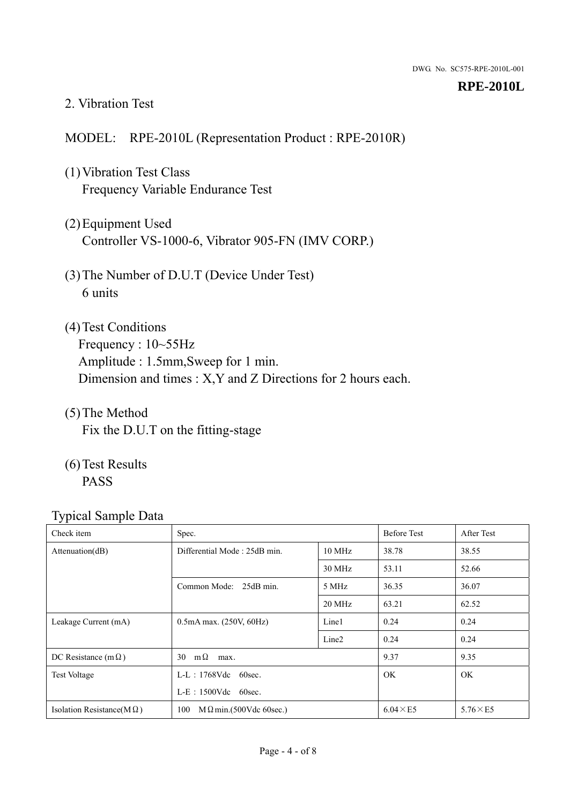#### 2. Vibration Test

### MODEL: RPE-2010L (Representation Product : RPE-2010R)

- (1)Vibration Test Class Frequency Variable Endurance Test
- (2)Equipment Used Controller VS-1000-6, Vibrator 905-FN (IMV CORP.)
- (3)The Number of D.U.T (Device Under Test) 6 units
- (4) Test Conditions Frequency : 10~55Hz Amplitude : 1.5mm,Sweep for 1 min. Dimension and times : X,Y and Z Directions for 2 hours each.
- (5)The Method Fix the D.U.T on the fitting-stage
- (6)Test Results PASS

| ┙┸<br>Check item                  | Spec.                                 |                   | <b>Before Test</b> | After Test      |
|-----------------------------------|---------------------------------------|-------------------|--------------------|-----------------|
| Attention(dB)                     | Differential Mode: 25dB min.          | 10 MHz            | 38.78              | 38.55           |
|                                   |                                       | 30 MHz            | 53.11              | 52.66           |
|                                   | Common Mode: 25dB min.<br>5 MHz       |                   | 36.35              | 36.07           |
|                                   |                                       | 20 MHz            | 63.21              | 62.52           |
| Leakage Current (mA)              | $0.5mA$ max. $(250V, 60Hz)$           | Line1             | 0.24               | 0.24            |
|                                   |                                       | Line <sub>2</sub> | 0.24               | 0.24            |
| DC Resistance (m $\Omega$ )       | $m\Omega$<br>30<br>max.               |                   | 9.37               | 9.35            |
| <b>Test Voltage</b>               | $L-L$ : 1768Vdc 60sec.                |                   | OK.                | OK.             |
|                                   | $L-E$ : 1500Vdc 60sec.                |                   |                    |                 |
| Isolation Resistance(M $\Omega$ ) | $M \Omega$ min.(500Vdc 60sec.)<br>100 |                   | $6.04 \times E5$   | $5.76\times E5$ |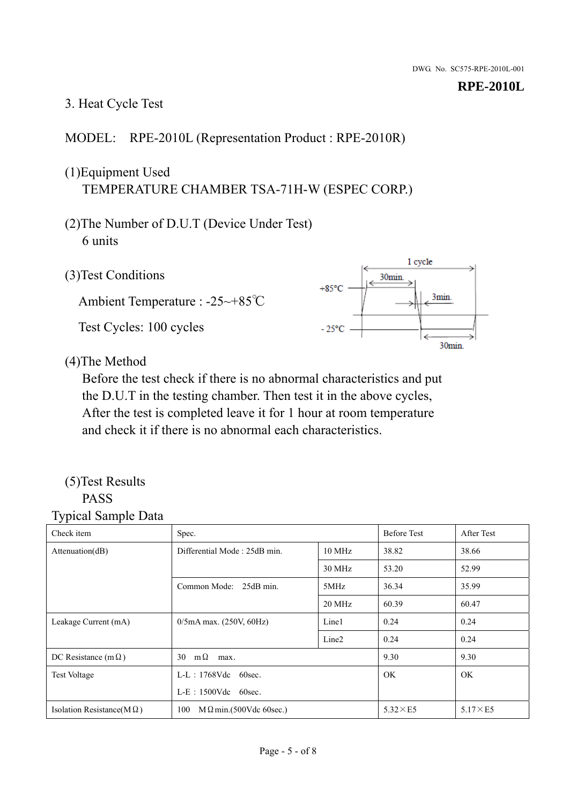## 3. Heat Cycle Test

## MODEL: RPE-2010L (Representation Product : RPE-2010R)

## (1)Equipment Used TEMPERATURE CHAMBER TSA-71H-W (ESPEC CORP.)

- (2)The Number of D.U.T (Device Under Test) 6 units
- 1 cycle (3)Test Conditions 30<sub>min</sub>  $+85^{\circ}$ C 3min. Ambient Temperature : -25~+85℃ Test Cycles: 100 cycles  $-25^{\circ}$ C 30min.

(4)The Method

Before the test check if there is no abnormal characteristics and put the D.U.T in the testing chamber. Then test it in the above cycles, After the test is completed leave it for 1 hour at room temperature and check it if there is no abnormal each characteristics.

#### (5)Test Results PASS

| ┙┸<br>$\mathbf{I}$<br>Check item  | Spec.                                |                   | <b>Before Test</b> | After Test      |
|-----------------------------------|--------------------------------------|-------------------|--------------------|-----------------|
| Attention(dB)                     | Differential Mode: 25dB min.         | 10 MHz            | 38.82              | 38.66           |
|                                   |                                      | 30 MHz            | 53.20              | 52.99           |
|                                   | Common Mode: 25dB min.               | 5MHz              | 36.34              | 35.99           |
|                                   |                                      | 20 MHz            | 60.39              | 60.47           |
| Leakage Current (mA)              | $0/5$ mA max. (250V, 60Hz)           | Line1             | 0.24               | 0.24            |
|                                   |                                      | Line <sub>2</sub> | 0.24               | 0.24            |
| DC Resistance (m $\Omega$ )       | $m\Omega$<br>30<br>max.              |                   | 9.30               | 9.30            |
| <b>Test Voltage</b>               | $L-L$ : 1768Vdc 60sec.               |                   | OK.                | OK.             |
|                                   | $L-E$ : 1500Vdc 60sec.               |                   |                    |                 |
| Isolation Resistance(M $\Omega$ ) | 100<br>$M\Omega$ min.(500Vdc 60sec.) |                   | $5.32\times E5$    | $5.17\times E5$ |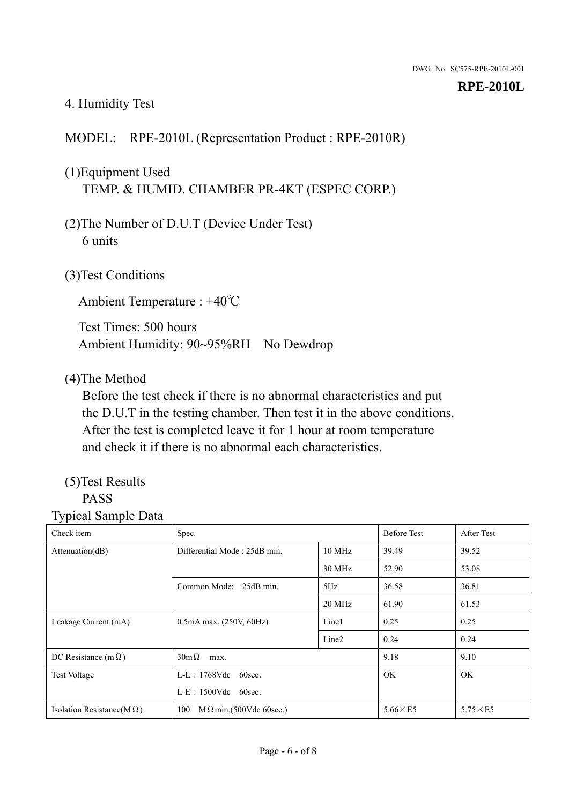## 4. Humidity Test

## MODEL: RPE-2010L (Representation Product : RPE-2010R)

## (1)Equipment Used TEMP. & HUMID. CHAMBER PR-4KT (ESPEC CORP.)

- (2)The Number of D.U.T (Device Under Test) 6 units
- (3)Test Conditions

Ambient Temperature : +40℃

Test Times: 500 hours Ambient Humidity: 90~95%RH No Dewdrop

### (4)The Method

Before the test check if there is no abnormal characteristics and put the D.U.T in the testing chamber. Then test it in the above conditions. After the test is completed leave it for 1 hour at room temperature and check it if there is no abnormal each characteristics.

## (5)Test Results

## PASS

| ັ່<br>л.<br>Check item            | Spec.                                  |                   | <b>Before Test</b> | After Test      |
|-----------------------------------|----------------------------------------|-------------------|--------------------|-----------------|
| Attenuation(dB)                   | Differential Mode: 25dB min.<br>10 MHz |                   | 39.49              | 39.52           |
|                                   |                                        | 30 MHz            | 52.90              | 53.08           |
|                                   | Common Mode: 25dB min.                 | 5Hz               | 36.58              | 36.81           |
|                                   |                                        | 20 MHz            | 61.90              | 61.53           |
| Leakage Current (mA)              | $0.5mA$ max. $(250V, 60Hz)$            | Line1             | 0.25               | 0.25            |
|                                   |                                        | Line <sub>2</sub> | 0.24               | 0.24            |
| DC Resistance (m $\Omega$ )       | $30m\Omega$<br>max.                    |                   | 9.18               | 9.10            |
| <b>Test Voltage</b>               | $L-L$ : 1768Vdc 60sec.                 |                   | OK.                | OK.             |
|                                   | $L-E$ : 1500Vdc 60sec.                 |                   |                    |                 |
| Isolation Resistance(M $\Omega$ ) | $M \Omega$ min.(500Vdc 60sec.)<br>100  |                   | $5.66\times E5$    | $5.75\times E5$ |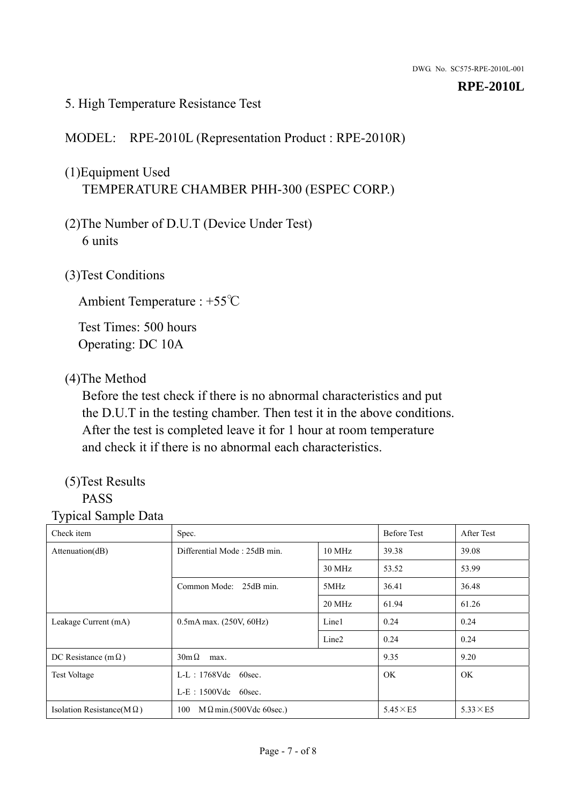### 5. High Temperature Resistance Test

## MODEL: RPE-2010L (Representation Product : RPE-2010R)

## (1)Equipment Used TEMPERATURE CHAMBER PHH-300 (ESPEC CORP.)

- (2)The Number of D.U.T (Device Under Test) 6 units
- (3)Test Conditions

Ambient Temperature : +55℃

Test Times: 500 hours Operating: DC 10A

## (4)The Method

Before the test check if there is no abnormal characteristics and put the D.U.T in the testing chamber. Then test it in the above conditions. After the test is completed leave it for 1 hour at room temperature and check it if there is no abnormal each characteristics.

## (5)Test Results

## PASS

| ┙┸<br>Check item                  | Spec.                                |                   | <b>Before Test</b> | After Test      |
|-----------------------------------|--------------------------------------|-------------------|--------------------|-----------------|
| Attention(dB)                     | Differential Mode: 25dB min.         | 10 MHz            | 39.38              | 39.08           |
|                                   |                                      | 30 MHz            | 53.52              | 53.99           |
|                                   | Common Mode: 25dB min.               | 5MHz              | 36.41              | 36.48           |
|                                   |                                      | 20 MHz            | 61.94              | 61.26           |
| Leakage Current (mA)              | $0.5mA$ max. $(250V, 60Hz)$          | Line1             | 0.24               | 0.24            |
|                                   |                                      | Line <sub>2</sub> | 0.24               | 0.24            |
| DC Resistance (m $\Omega$ )       | $30m\Omega$<br>max.                  |                   | 9.35               | 9.20            |
| <b>Test Voltage</b>               | $L-L$ : 1768Vdc 60sec.               |                   | OK.                | OK.             |
|                                   | $L-E$ : 1500Vdc 60sec.               |                   |                    |                 |
| Isolation Resistance(M $\Omega$ ) | 100<br>$M\Omega$ min.(500Vdc 60sec.) |                   | $5.45\times E5$    | $5.33\times E5$ |